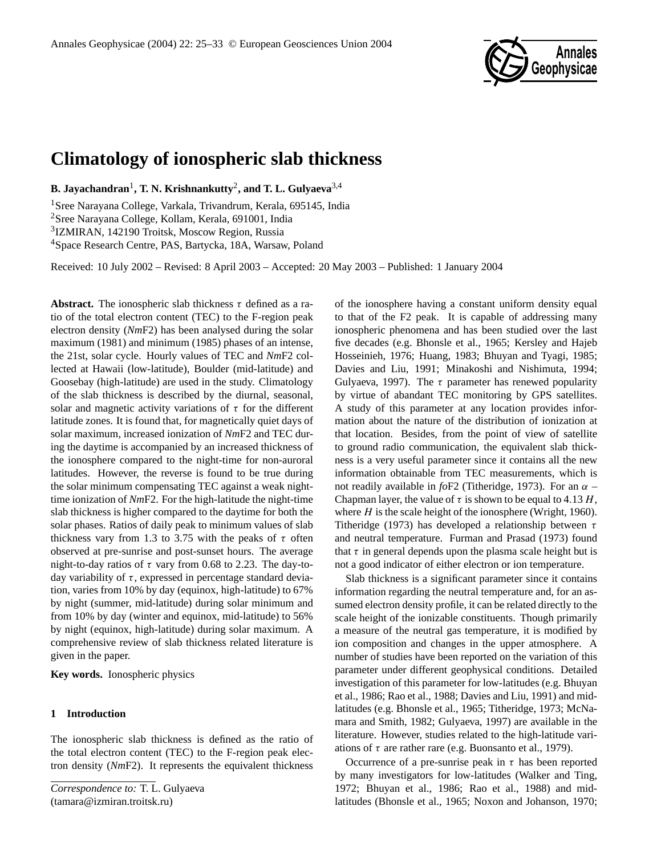

# **Climatology of ionospheric slab thickness**

**B. Jayachandran**<sup>1</sup> **, T. N. Krishnankutty**<sup>2</sup> **, and T. L. Gulyaeva**3,4

Sree Narayana College, Varkala, Trivandrum, Kerala, 695145, India Sree Narayana College, Kollam, Kerala, 691001, India IZMIRAN, 142190 Troitsk, Moscow Region, Russia Space Research Centre, PAS, Bartycka, 18A, Warsaw, Poland

Received: 10 July 2002 – Revised: 8 April 2003 – Accepted: 20 May 2003 – Published: 1 January 2004

**Abstract.** The ionospheric slab thickness  $\tau$  defined as a ratio of the total electron content (TEC) to the F-region peak electron density (*Nm*F2) has been analysed during the solar maximum (1981) and minimum (1985) phases of an intense, the 21st, solar cycle. Hourly values of TEC and *Nm*F2 collected at Hawaii (low-latitude), Boulder (mid-latitude) and Goosebay (high-latitude) are used in the study. Climatology of the slab thickness is described by the diurnal, seasonal, solar and magnetic activity variations of  $\tau$  for the different latitude zones. It is found that, for magnetically quiet days of solar maximum, increased ionization of *Nm*F2 and TEC during the daytime is accompanied by an increased thickness of the ionosphere compared to the night-time for non-auroral latitudes. However, the reverse is found to be true during the solar minimum compensating TEC against a weak nighttime ionization of *Nm*F2. For the high-latitude the night-time slab thickness is higher compared to the daytime for both the solar phases. Ratios of daily peak to minimum values of slab thickness vary from 1.3 to 3.75 with the peaks of  $\tau$  often observed at pre-sunrise and post-sunset hours. The average night-to-day ratios of  $\tau$  vary from 0.68 to 2.23. The day-today variability of  $\tau$ , expressed in percentage standard deviation, varies from 10% by day (equinox, high-latitude) to 67% by night (summer, mid-latitude) during solar minimum and from 10% by day (winter and equinox, mid-latitude) to 56% by night (equinox, high-latitude) during solar maximum. A comprehensive review of slab thickness related literature is given in the paper.

**Key words.** Ionospheric physics

## **1 Introduction**

The ionospheric slab thickness is defined as the ratio of the total electron content (TEC) to the F-region peak electron density (*Nm*F2). It represents the equivalent thickness of the ionosphere having a constant uniform density equal to that of the F2 peak. It is capable of addressing many ionospheric phenomena and has been studied over the last five decades (e.g. Bhonsle et al., 1965; Kersley and Hajeb Hosseinieh, 1976; Huang, 1983; Bhuyan and Tyagi, 1985; Davies and Liu, 1991; Minakoshi and Nishimuta, 1994; Gulyaeva, 1997). The  $\tau$  parameter has renewed popularity by virtue of abandant TEC monitoring by GPS satellites. A study of this parameter at any location provides information about the nature of the distribution of ionization at that location. Besides, from the point of view of satellite to ground radio communication, the equivalent slab thickness is a very useful parameter since it contains all the new information obtainable from TEC measurements, which is not readily available in  $f \circ F2$  (Titheridge, 1973). For an  $\alpha$  – Chapman layer, the value of  $\tau$  is shown to be equal to 4.13 H, where  $H$  is the scale height of the ionosphere (Wright, 1960). Titheridge (1973) has developed a relationship between  $\tau$ and neutral temperature. Furman and Prasad (1973) found that  $\tau$  in general depends upon the plasma scale height but is not a good indicator of either electron or ion temperature.

Slab thickness is a significant parameter since it contains information regarding the neutral temperature and, for an assumed electron density profile, it can be related directly to the scale height of the ionizable constituents. Though primarily a measure of the neutral gas temperature, it is modified by ion composition and changes in the upper atmosphere. A number of studies have been reported on the variation of this parameter under different geophysical conditions. Detailed investigation of this parameter for low-latitudes (e.g. Bhuyan et al., 1986; Rao et al., 1988; Davies and Liu, 1991) and midlatitudes (e.g. Bhonsle et al., 1965; Titheridge, 1973; McNamara and Smith, 1982; Gulyaeva, 1997) are available in the literature. However, studies related to the high-latitude variations of  $\tau$  are rather rare (e.g. Buonsanto et al., 1979).

Occurrence of a pre-sunrise peak in  $\tau$  has been reported by many investigators for low-latitudes (Walker and Ting, 1972; Bhuyan et al., 1986; Rao et al., 1988) and midlatitudes (Bhonsle et al., 1965; Noxon and Johanson, 1970;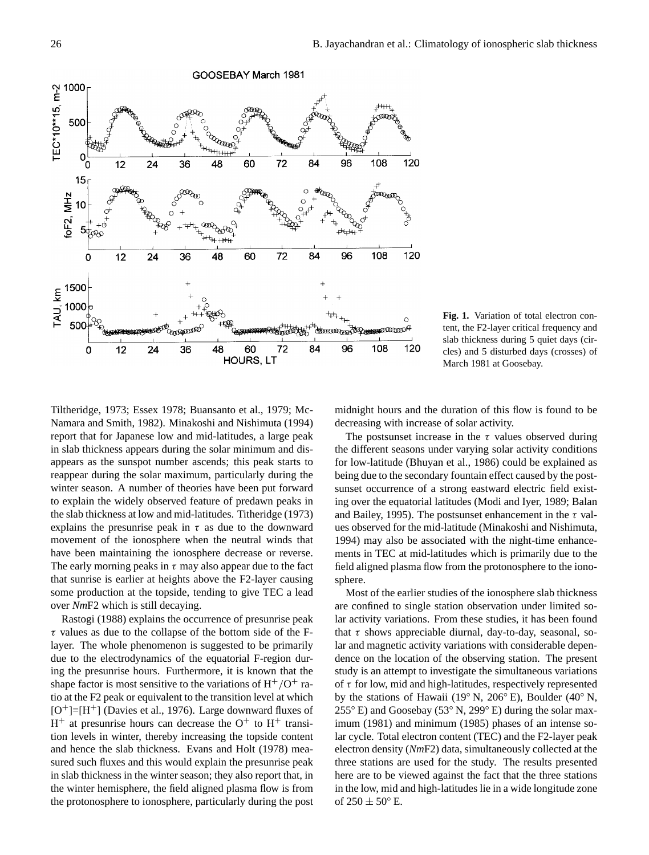

**Fig. 1.** Variation of total electron content, the F2-layer critical frequency and slab thickness during 5 quiet days (circles) and 5 disturbed days (crosses) of March 1981 at Goosebay.

Tiltheridge, 1973; Essex 1978; Buansanto et al., 1979; Mc-Namara and Smith, 1982). Minakoshi and Nishimuta (1994) report that for Japanese low and mid-latitudes, a large peak in slab thickness appears during the solar minimum and disappears as the sunspot number ascends; this peak starts to reappear during the solar maximum, particularly during the winter season. A number of theories have been put forward to explain the widely observed feature of predawn peaks in the slab thickness at low and mid-latitudes. Titheridge (1973) explains the presunrise peak in  $\tau$  as due to the downward movement of the ionosphere when the neutral winds that have been maintaining the ionosphere decrease or reverse. The early morning peaks in  $\tau$  may also appear due to the fact that sunrise is earlier at heights above the F2-layer causing some production at the topside, tending to give TEC a lead over *Nm*F2 which is still decaying.

Rastogi (1988) explains the occurrence of presunrise peak  $\tau$  values as due to the collapse of the bottom side of the Flayer. The whole phenomenon is suggested to be primarily due to the electrodynamics of the equatorial F-region during the presunrise hours. Furthermore, it is known that the shape factor is most sensitive to the variations of  $H^+/O^+$  ratio at the F2 peak or equivalent to the transition level at which [O <sup>+</sup>]=[H <sup>+</sup>] (Davies et al., 1976). Large downward fluxes of  $H^+$  at presunrise hours can decrease the  $O^+$  to  $H^+$  transition levels in winter, thereby increasing the topside content and hence the slab thickness. Evans and Holt (1978) measured such fluxes and this would explain the presunrise peak in slab thickness in the winter season; they also report that, in the winter hemisphere, the field aligned plasma flow is from the protonosphere to ionosphere, particularly during the post midnight hours and the duration of this flow is found to be decreasing with increase of solar activity.

The postsunset increase in the  $\tau$  values observed during the different seasons under varying solar activity conditions for low-latitude (Bhuyan et al., 1986) could be explained as being due to the secondary fountain effect caused by the postsunset occurrence of a strong eastward electric field existing over the equatorial latitudes (Modi and Iyer, 1989; Balan and Bailey, 1995). The postsunset enhancement in the  $\tau$  values observed for the mid-latitude (Minakoshi and Nishimuta, 1994) may also be associated with the night-time enhancements in TEC at mid-latitudes which is primarily due to the field aligned plasma flow from the protonosphere to the ionosphere.

Most of the earlier studies of the ionosphere slab thickness are confined to single station observation under limited solar activity variations. From these studies, it has been found that  $\tau$  shows appreciable diurnal, day-to-day, seasonal, solar and magnetic activity variations with considerable dependence on the location of the observing station. The present study is an attempt to investigate the simultaneous variations of  $\tau$  for low, mid and high-latitudes, respectively represented by the stations of Hawaii (19◦ N, 206◦ E), Boulder (40◦ N,  $255^{\circ}$  E) and Goosebay (53 $^{\circ}$  N, 299 $^{\circ}$  E) during the solar maximum (1981) and minimum (1985) phases of an intense solar cycle. Total electron content (TEC) and the F2-layer peak electron density (*Nm*F2) data, simultaneously collected at the three stations are used for the study. The results presented here are to be viewed against the fact that the three stations in the low, mid and high-latitudes lie in a wide longitude zone of  $250 \pm 50^{\circ}$  E.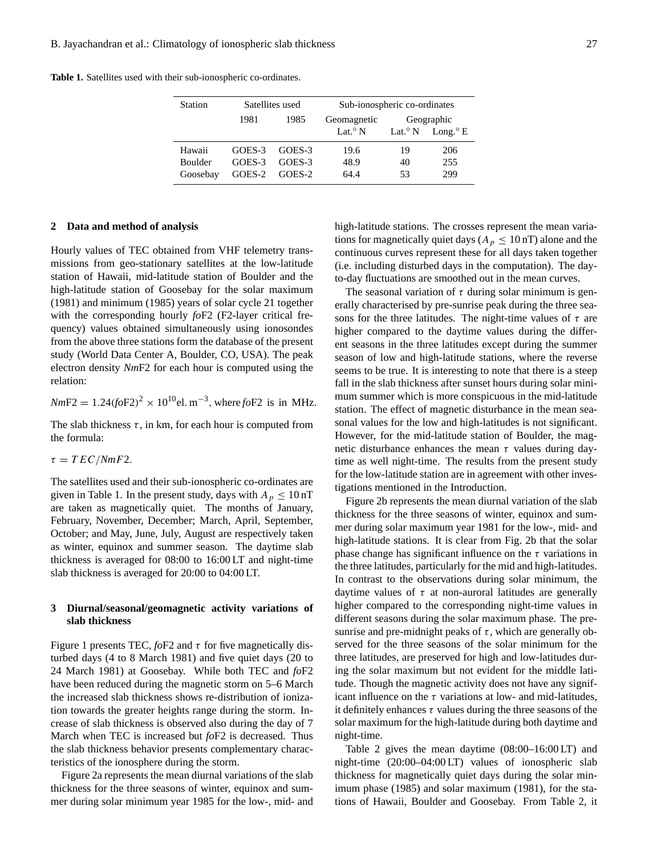|  | <b>Table 1.</b> Satellites used with their sub-ionospheric co-ordinates. |  |  |  |  |  |
|--|--------------------------------------------------------------------------|--|--|--|--|--|
|--|--------------------------------------------------------------------------|--|--|--|--|--|

|        |        | Sub-ionospheric co-ordinates |    |                                          |  |
|--------|--------|------------------------------|----|------------------------------------------|--|
| 1981   | 1985   | Geomagnetic                  |    | Geographic                               |  |
|        |        | Lat. <sup>o</sup> N          |    | Lat. <sup>o</sup> N Long. <sup>o</sup> E |  |
| GOES-3 | GOES-3 | 19.6                         | 19 | 206                                      |  |
| GOES-3 | GOES-3 | 48.9                         | 40 | 255                                      |  |
| GOES-2 | GOES-2 | 64.4                         | 53 | 299                                      |  |
|        |        | Satellites used              |    |                                          |  |

#### **2 Data and method of analysis**

Hourly values of TEC obtained from VHF telemetry transmissions from geo-stationary satellites at the low-latitude station of Hawaii, mid-latitude station of Boulder and the high-latitude station of Goosebay for the solar maximum (1981) and minimum (1985) years of solar cycle 21 together with the corresponding hourly *fo*F2 (F2-layer critical frequency) values obtained simultaneously using ionosondes from the above three stations form the database of the present study (World Data Center A, Boulder, CO, USA). The peak electron density *Nm*F2 for each hour is computed using the relation:

 $NmF2 = 1.24 (foF2)^{2} \times 10^{10}$ el. m<sup>-3</sup>, where *fo*F2 is in MHz.

The slab thickness  $\tau$ , in km, for each hour is computed from the formula:

 $\tau = TEC/NmF2$ .

The satellites used and their sub-ionospheric co-ordinates are given in Table 1. In the present study, days with  $A_p \leq 10$  nT are taken as magnetically quiet. The months of January, February, November, December; March, April, September, October; and May, June, July, August are respectively taken as winter, equinox and summer season. The daytime slab thickness is averaged for 08:00 to 16:00 LT and night-time slab thickness is averaged for 20:00 to 04:00 LT.

## **3 Diurnal/seasonal/geomagnetic activity variations of slab thickness**

Figure 1 presents TEC,  $f \circ F2$  and  $\tau$  for five magnetically disturbed days (4 to 8 March 1981) and five quiet days (20 to 24 March 1981) at Goosebay. While both TEC and *fo*F2 have been reduced during the magnetic storm on 5–6 March the increased slab thickness shows re-distribution of ionization towards the greater heights range during the storm. Increase of slab thickness is observed also during the day of 7 March when TEC is increased but *fo*F2 is decreased. Thus the slab thickness behavior presents complementary characteristics of the ionosphere during the storm.

Figure 2a represents the mean diurnal variations of the slab thickness for the three seasons of winter, equinox and summer during solar minimum year 1985 for the low-, mid- and high-latitude stations. The crosses represent the mean variations for magnetically quiet days ( $A_p \leq 10$  nT) alone and the continuous curves represent these for all days taken together (i.e. including disturbed days in the computation). The dayto-day fluctuations are smoothed out in the mean curves.

The seasonal variation of  $\tau$  during solar minimum is generally characterised by pre-sunrise peak during the three seasons for the three latitudes. The night-time values of  $\tau$  are higher compared to the daytime values during the different seasons in the three latitudes except during the summer season of low and high-latitude stations, where the reverse seems to be true. It is interesting to note that there is a steep fall in the slab thickness after sunset hours during solar minimum summer which is more conspicuous in the mid-latitude station. The effect of magnetic disturbance in the mean seasonal values for the low and high-latitudes is not significant. However, for the mid-latitude station of Boulder, the magnetic disturbance enhances the mean  $\tau$  values during daytime as well night-time. The results from the present study for the low-latitude station are in agreement with other investigations mentioned in the Introduction.

Figure 2b represents the mean diurnal variation of the slab thickness for the three seasons of winter, equinox and summer during solar maximum year 1981 for the low-, mid- and high-latitude stations. It is clear from Fig. 2b that the solar phase change has significant influence on the  $\tau$  variations in the three latitudes, particularly for the mid and high-latitudes. In contrast to the observations during solar minimum, the daytime values of  $\tau$  at non-auroral latitudes are generally higher compared to the corresponding night-time values in different seasons during the solar maximum phase. The presunrise and pre-midnight peaks of  $\tau$ , which are generally observed for the three seasons of the solar minimum for the three latitudes, are preserved for high and low-latitudes during the solar maximum but not evident for the middle latitude. Though the magnetic activity does not have any significant influence on the  $\tau$  variations at low- and mid-latitudes, it definitely enhances  $\tau$  values during the three seasons of the solar maximum for the high-latitude during both daytime and night-time.

Table 2 gives the mean daytime (08:00–16:00 LT) and night-time (20:00–04:00 LT) values of ionospheric slab thickness for magnetically quiet days during the solar minimum phase (1985) and solar maximum (1981), for the stations of Hawaii, Boulder and Goosebay. From Table 2, it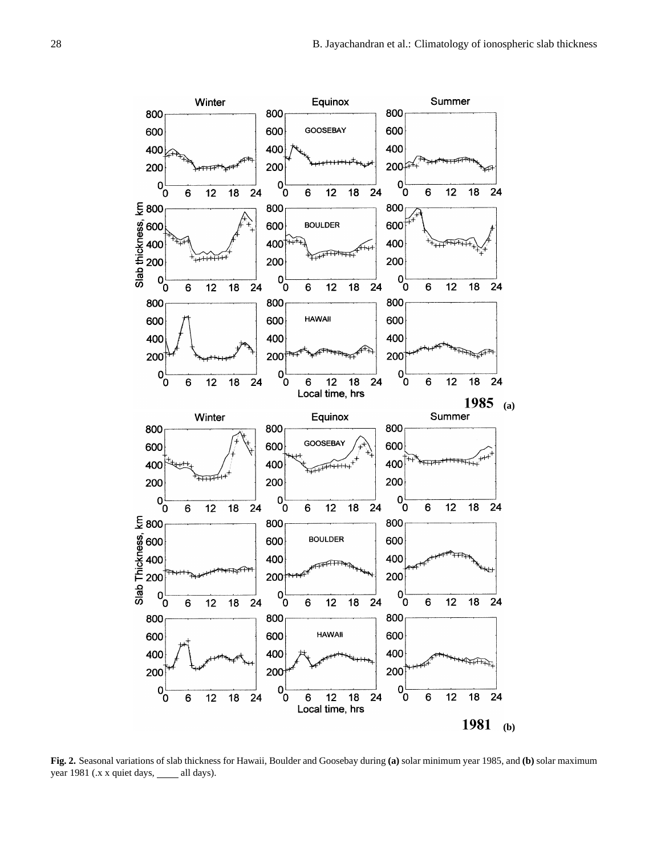

**Fig. 2.** Seasonal variations of slab thickness for Hawaii, Boulder and Goosebay during **(a)** solar minimum year 1985, and **(b)** solar maximum year 1981 (.x x quiet days, \_\_\_\_ all days).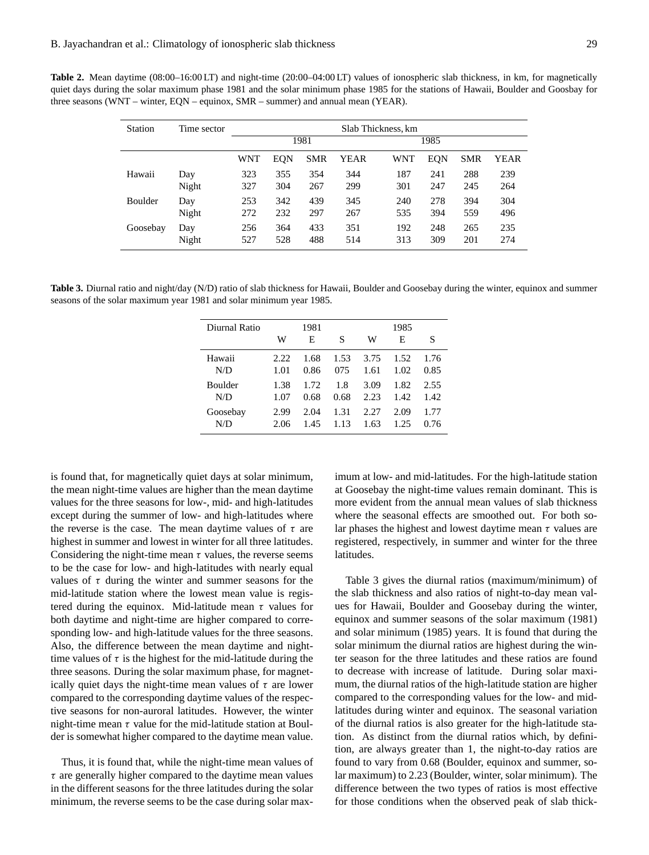**Table 2.** Mean daytime (08:00–16:00 LT) and night-time (20:00–04:00 LT) values of ionospheric slab thickness, in km, for magnetically quiet days during the solar maximum phase 1981 and the solar minimum phase 1985 for the stations of Hawaii, Boulder and Goosbay for three seasons (WNT – winter, EQN – equinox, SMR – summer) and annual mean (YEAR).

| Station        | Time sector  | Slab Thickness, km |            |            |            |            |            |            |            |
|----------------|--------------|--------------------|------------|------------|------------|------------|------------|------------|------------|
|                |              | 1981               |            |            |            | 1985       |            |            |            |
|                |              | WNT                | EQN        | SMR        | YEAR       | WNT        | EQN        | <b>SMR</b> | YEAR       |
| Hawaii         | Day          | 323                | 355        | 354        | 344        | 187        | 241        | 288        | 239        |
|                | Night        | 327                | 304        | 267        | 299        | 301        | 247        | 245        | 264        |
| <b>Boulder</b> | Day          | 253                | 342        | 439        | 345        | 240        | 278        | 394        | 304        |
|                | Night        | 272                | 232        | 297        | 267        | 535        | 394        | 559        | 496        |
| Goosebay       | Day<br>Night | 256<br>527         | 364<br>528 | 433<br>488 | 351<br>514 | 192<br>313 | 248<br>309 | 265<br>201 | 235<br>274 |

**Table 3.** Diurnal ratio and night/day (N/D) ratio of slab thickness for Hawaii, Boulder and Goosebay during the winter, equinox and summer seasons of the solar maximum year 1981 and solar minimum year 1985.

| Diurnal Ratio  |      | 1981 |       |      | 1985 |      |
|----------------|------|------|-------|------|------|------|
|                | W    | Е    | S     | W    | Е    | S    |
| Hawaii         | 2.22 | 1.68 | 1.53  | 3.75 | 1.52 | 1.76 |
| N/D            | 1.01 | 0.86 | 075   | 1.61 | 1.02 | 0.85 |
| <b>Boulder</b> | 1.38 | 1.72 | 1.8   | 3.09 | 1.82 | 2.55 |
| N/D            | 1.07 | 0.68 | 0.68  | 2.23 | 1.42 | 1.42 |
| Goosebay       | 2.99 | 2.04 | 1.31  | 2.27 | 2.09 | 1.77 |
| N/D            | 2.06 | 1.45 | 1 1 3 | 1.63 | 1 25 | 0.76 |
|                |      |      |       |      |      |      |

is found that, for magnetically quiet days at solar minimum, the mean night-time values are higher than the mean daytime values for the three seasons for low-, mid- and high-latitudes except during the summer of low- and high-latitudes where the reverse is the case. The mean daytime values of  $\tau$  are highest in summer and lowest in winter for all three latitudes. Considering the night-time mean  $\tau$  values, the reverse seems to be the case for low- and high-latitudes with nearly equal values of  $\tau$  during the winter and summer seasons for the mid-latitude station where the lowest mean value is registered during the equinox. Mid-latitude mean  $\tau$  values for both daytime and night-time are higher compared to corresponding low- and high-latitude values for the three seasons. Also, the difference between the mean daytime and nighttime values of  $\tau$  is the highest for the mid-latitude during the three seasons. During the solar maximum phase, for magnetically quiet days the night-time mean values of  $\tau$  are lower compared to the corresponding daytime values of the respective seasons for non-auroral latitudes. However, the winter night-time mean  $\tau$  value for the mid-latitude station at Boulder is somewhat higher compared to the daytime mean value.

Thus, it is found that, while the night-time mean values of  $\tau$  are generally higher compared to the daytime mean values in the different seasons for the three latitudes during the solar minimum, the reverse seems to be the case during solar maximum at low- and mid-latitudes. For the high-latitude station at Goosebay the night-time values remain dominant. This is more evident from the annual mean values of slab thickness where the seasonal effects are smoothed out. For both solar phases the highest and lowest daytime mean  $\tau$  values are registered, respectively, in summer and winter for the three latitudes.

Table 3 gives the diurnal ratios (maximum/minimum) of the slab thickness and also ratios of night-to-day mean values for Hawaii, Boulder and Goosebay during the winter, equinox and summer seasons of the solar maximum (1981) and solar minimum (1985) years. It is found that during the solar minimum the diurnal ratios are highest during the winter season for the three latitudes and these ratios are found to decrease with increase of latitude. During solar maximum, the diurnal ratios of the high-latitude station are higher compared to the corresponding values for the low- and midlatitudes during winter and equinox. The seasonal variation of the diurnal ratios is also greater for the high-latitude station. As distinct from the diurnal ratios which, by definition, are always greater than 1, the night-to-day ratios are found to vary from 0.68 (Boulder, equinox and summer, solar maximum) to 2.23 (Boulder, winter, solar minimum). The difference between the two types of ratios is most effective for those conditions when the observed peak of slab thick-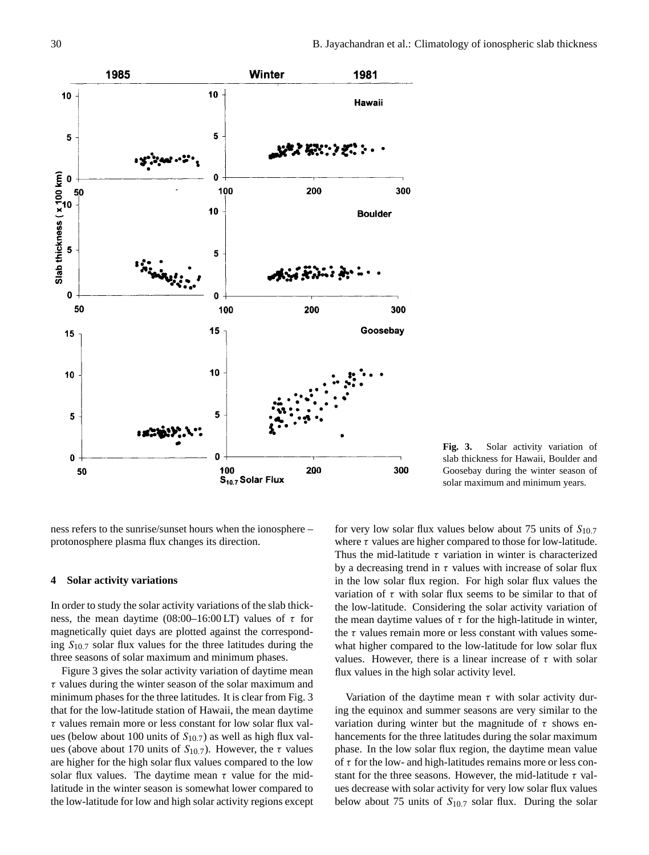

**Fig. 3.** Solar activity variation of slab thickness for Hawaii, Boulder and Goosebay during the winter season of solar maximum and minimum years.

ness refers to the sunrise/sunset hours when the ionosphere – protonosphere plasma flux changes its direction.

## **4 Solar activity variations**

In order to study the solar activity variations of the slab thickness, the mean daytime (08:00–16:00 LT) values of  $\tau$  for magnetically quiet days are plotted against the corresponding  $S_{10.7}$  solar flux values for the three latitudes during the three seasons of solar maximum and minimum phases.

Figure 3 gives the solar activity variation of daytime mean  $\tau$  values during the winter season of the solar maximum and minimum phases for the three latitudes. It is clear from Fig. 3 that for the low-latitude station of Hawaii, the mean daytime  $\tau$  values remain more or less constant for low solar flux values (below about 100 units of  $S_{10.7}$ ) as well as high flux values (above about 170 units of  $S_{10.7}$ ). However, the  $\tau$  values are higher for the high solar flux values compared to the low solar flux values. The daytime mean  $\tau$  value for the midlatitude in the winter season is somewhat lower compared to the low-latitude for low and high solar activity regions except for very low solar flux values below about 75 units of  $S_{10.7}$ where  $\tau$  values are higher compared to those for low-latitude. Thus the mid-latitude  $\tau$  variation in winter is characterized by a decreasing trend in  $\tau$  values with increase of solar flux in the low solar flux region. For high solar flux values the variation of  $\tau$  with solar flux seems to be similar to that of the low-latitude. Considering the solar activity variation of the mean daytime values of  $\tau$  for the high-latitude in winter, the  $\tau$  values remain more or less constant with values somewhat higher compared to the low-latitude for low solar flux values. However, there is a linear increase of  $\tau$  with solar flux values in the high solar activity level.

Variation of the daytime mean  $\tau$  with solar activity during the equinox and summer seasons are very similar to the variation during winter but the magnitude of  $\tau$  shows enhancements for the three latitudes during the solar maximum phase. In the low solar flux region, the daytime mean value of  $\tau$  for the low- and high-latitudes remains more or less constant for the three seasons. However, the mid-latitude  $\tau$  values decrease with solar activity for very low solar flux values below about 75 units of  $S_{10.7}$  solar flux. During the solar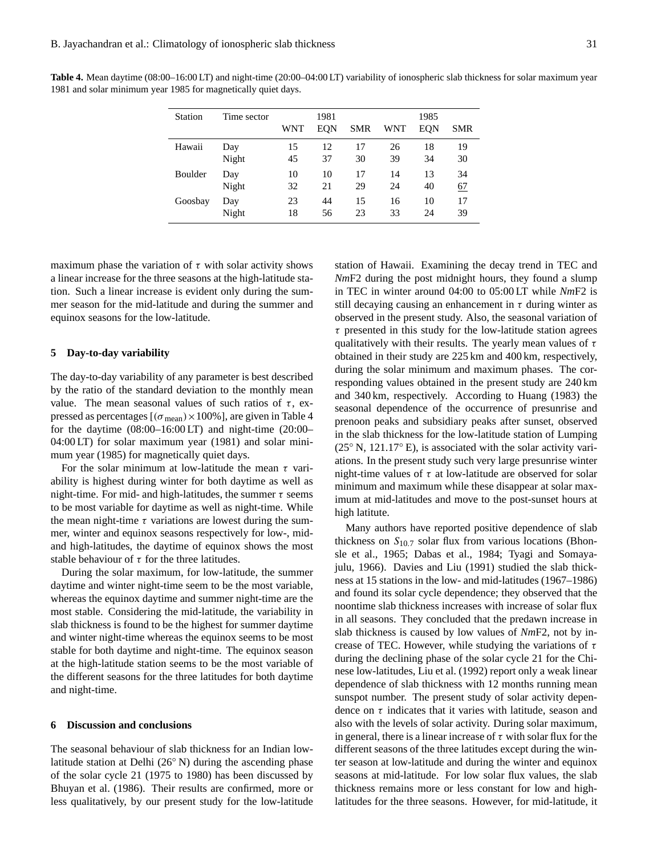**Table 4.** Mean daytime (08:00–16:00 LT) and night-time (20:00–04:00 LT) variability of ionospheric slab thickness for solar maximum year 1981 and solar minimum year 1985 for magnetically quiet days.

| Station | Time sector | WNT | 1981<br><b>EQN</b> | <b>SMR</b> | <b>WNT</b> | 1985<br><b>EQN</b> | SMR |
|---------|-------------|-----|--------------------|------------|------------|--------------------|-----|
| Hawaii  | Day         | 15  | 12                 | 17         | 26         | 18                 | 19  |
|         | Night       | 45  | 37                 | 30         | 39         | 34                 | 30  |
| Boulder | Day         | 10  | 10                 | 17         | 14         | 13                 | 34  |
|         | Night       | 32  | 21                 | 29         | 24         | 40                 | 67  |
| Goosbay | Day         | 23  | 44                 | 15         | 16         | 10                 | 17  |
|         | Night       | 18  | 56                 | 23         | 33         | 24                 | 39  |

maximum phase the variation of  $\tau$  with solar activity shows a linear increase for the three seasons at the high-latitude station. Such a linear increase is evident only during the summer season for the mid-latitude and during the summer and equinox seasons for the low-latitude.

#### **5 Day-to-day variability**

The day-to-day variability of any parameter is best described by the ratio of the standard deviation to the monthly mean value. The mean seasonal values of such ratios of  $\tau$ , expressed as percentages  $[(\sigma_{mean}) \times 100\%]$ , are given in Table 4 for the daytime (08:00–16:00 LT) and night-time (20:00– 04:00 LT) for solar maximum year (1981) and solar minimum year (1985) for magnetically quiet days.

For the solar minimum at low-latitude the mean  $\tau$  variability is highest during winter for both daytime as well as night-time. For mid- and high-latitudes, the summer  $\tau$  seems to be most variable for daytime as well as night-time. While the mean night-time  $\tau$  variations are lowest during the summer, winter and equinox seasons respectively for low-, midand high-latitudes, the daytime of equinox shows the most stable behaviour of  $\tau$  for the three latitudes.

During the solar maximum, for low-latitude, the summer daytime and winter night-time seem to be the most variable, whereas the equinox daytime and summer night-time are the most stable. Considering the mid-latitude, the variability in slab thickness is found to be the highest for summer daytime and winter night-time whereas the equinox seems to be most stable for both daytime and night-time. The equinox season at the high-latitude station seems to be the most variable of the different seasons for the three latitudes for both daytime and night-time.

#### **6 Discussion and conclusions**

The seasonal behaviour of slab thickness for an Indian lowlatitude station at Delhi (26◦ N) during the ascending phase of the solar cycle 21 (1975 to 1980) has been discussed by Bhuyan et al. (1986). Their results are confirmed, more or less qualitatively, by our present study for the low-latitude station of Hawaii. Examining the decay trend in TEC and *Nm*F2 during the post midnight hours, they found a slump in TEC in winter around 04:00 to 05:00 LT while *Nm*F2 is still decaying causing an enhancement in  $\tau$  during winter as observed in the present study. Also, the seasonal variation of  $\tau$  presented in this study for the low-latitude station agrees qualitatively with their results. The yearly mean values of  $\tau$ obtained in their study are 225 km and 400 km, respectively, during the solar minimum and maximum phases. The corresponding values obtained in the present study are 240 km and 340 km, respectively. According to Huang (1983) the seasonal dependence of the occurrence of presunrise and prenoon peaks and subsidiary peaks after sunset, observed in the slab thickness for the low-latitude station of Lumping  $(25° N, 121.17° E)$ , is associated with the solar activity variations. In the present study such very large presunrise winter night-time values of  $\tau$  at low-latitude are observed for solar minimum and maximum while these disappear at solar maximum at mid-latitudes and move to the post-sunset hours at high latitute.

Many authors have reported positive dependence of slab thickness on  $S_{10.7}$  solar flux from various locations (Bhonsle et al., 1965; Dabas et al., 1984; Tyagi and Somayajulu, 1966). Davies and Liu (1991) studied the slab thickness at 15 stations in the low- and mid-latitudes (1967–1986) and found its solar cycle dependence; they observed that the noontime slab thickness increases with increase of solar flux in all seasons. They concluded that the predawn increase in slab thickness is caused by low values of *Nm*F2, not by increase of TEC. However, while studying the variations of  $\tau$ during the declining phase of the solar cycle 21 for the Chinese low-latitudes, Liu et al. (1992) report only a weak linear dependence of slab thickness with 12 months running mean sunspot number. The present study of solar activity dependence on  $\tau$  indicates that it varies with latitude, season and also with the levels of solar activity. During solar maximum, in general, there is a linear increase of  $\tau$  with solar flux for the different seasons of the three latitudes except during the winter season at low-latitude and during the winter and equinox seasons at mid-latitude. For low solar flux values, the slab thickness remains more or less constant for low and highlatitudes for the three seasons. However, for mid-latitude, it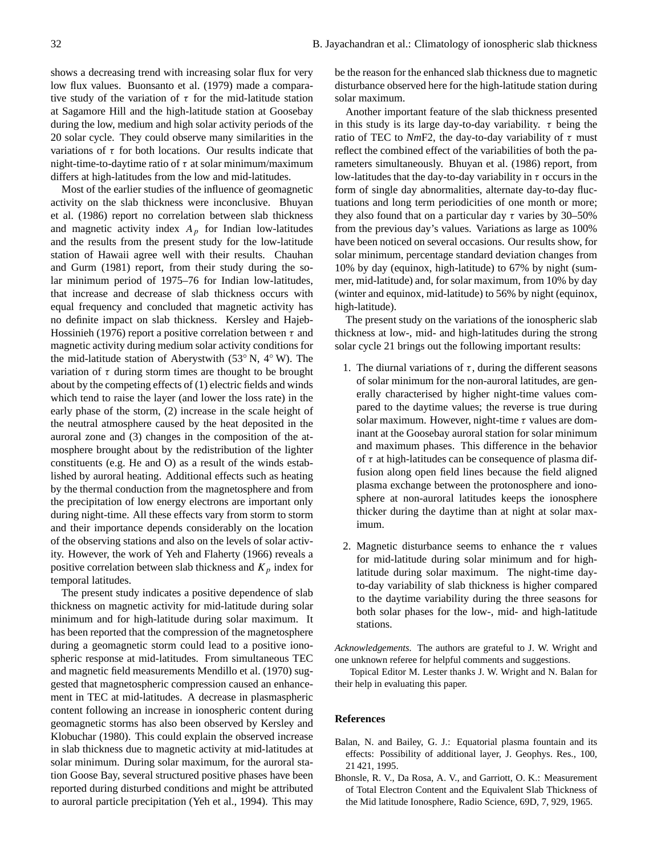shows a decreasing trend with increasing solar flux for very low flux values. Buonsanto et al. (1979) made a comparative study of the variation of  $\tau$  for the mid-latitude station at Sagamore Hill and the high-latitude station at Goosebay during the low, medium and high solar activity periods of the 20 solar cycle. They could observe many similarities in the variations of  $\tau$  for both locations. Our results indicate that night-time-to-daytime ratio of  $\tau$  at solar minimum/maximum differs at high-latitudes from the low and mid-latitudes.

Most of the earlier studies of the influence of geomagnetic activity on the slab thickness were inconclusive. Bhuyan et al. (1986) report no correlation between slab thickness and magnetic activity index  $A_p$  for Indian low-latitudes and the results from the present study for the low-latitude station of Hawaii agree well with their results. Chauhan and Gurm (1981) report, from their study during the solar minimum period of 1975–76 for Indian low-latitudes, that increase and decrease of slab thickness occurs with equal frequency and concluded that magnetic activity has no definite impact on slab thickness. Kersley and Hajeb-Hossinieh (1976) report a positive correlation between  $\tau$  and magnetic activity during medium solar activity conditions for the mid-latitude station of Aberystwith (53◦ N, 4◦ W). The variation of  $\tau$  during storm times are thought to be brought about by the competing effects of (1) electric fields and winds which tend to raise the layer (and lower the loss rate) in the early phase of the storm, (2) increase in the scale height of the neutral atmosphere caused by the heat deposited in the auroral zone and (3) changes in the composition of the atmosphere brought about by the redistribution of the lighter constituents (e.g. He and O) as a result of the winds established by auroral heating. Additional effects such as heating by the thermal conduction from the magnetosphere and from the precipitation of low energy electrons are important only during night-time. All these effects vary from storm to storm and their importance depends considerably on the location of the observing stations and also on the levels of solar activity. However, the work of Yeh and Flaherty (1966) reveals a positive correlation between slab thickness and  $K_p$  index for temporal latitudes.

The present study indicates a positive dependence of slab thickness on magnetic activity for mid-latitude during solar minimum and for high-latitude during solar maximum. It has been reported that the compression of the magnetosphere during a geomagnetic storm could lead to a positive ionospheric response at mid-latitudes. From simultaneous TEC and magnetic field measurements Mendillo et al. (1970) suggested that magnetospheric compression caused an enhancement in TEC at mid-latitudes. A decrease in plasmaspheric content following an increase in ionospheric content during geomagnetic storms has also been observed by Kersley and Klobuchar (1980). This could explain the observed increase in slab thickness due to magnetic activity at mid-latitudes at solar minimum. During solar maximum, for the auroral station Goose Bay, several structured positive phases have been reported during disturbed conditions and might be attributed to auroral particle precipitation (Yeh et al., 1994). This may

be the reason for the enhanced slab thickness due to magnetic disturbance observed here for the high-latitude station during solar maximum.

Another important feature of the slab thickness presented in this study is its large day-to-day variability.  $\tau$  being the ratio of TEC to  $NmF2$ , the day-to-day variability of  $\tau$  must reflect the combined effect of the variabilities of both the parameters simultaneously. Bhuyan et al. (1986) report, from low-latitudes that the day-to-day variability in  $\tau$  occurs in the form of single day abnormalities, alternate day-to-day fluctuations and long term periodicities of one month or more; they also found that on a particular day  $\tau$  varies by 30–50% from the previous day's values. Variations as large as 100% have been noticed on several occasions. Our results show, for solar minimum, percentage standard deviation changes from 10% by day (equinox, high-latitude) to 67% by night (summer, mid-latitude) and, for solar maximum, from 10% by day (winter and equinox, mid-latitude) to 56% by night (equinox, high-latitude).

The present study on the variations of the ionospheric slab thickness at low-, mid- and high-latitudes during the strong solar cycle 21 brings out the following important results:

- 1. The diurnal variations of  $\tau$ , during the different seasons of solar minimum for the non-auroral latitudes, are generally characterised by higher night-time values compared to the daytime values; the reverse is true during solar maximum. However, night-time  $\tau$  values are dominant at the Goosebay auroral station for solar minimum and maximum phases. This difference in the behavior of  $\tau$  at high-latitudes can be consequence of plasma diffusion along open field lines because the field aligned plasma exchange between the protonosphere and ionosphere at non-auroral latitudes keeps the ionosphere thicker during the daytime than at night at solar maximum.
- 2. Magnetic disturbance seems to enhance the  $\tau$  values for mid-latitude during solar minimum and for highlatitude during solar maximum. The night-time dayto-day variability of slab thickness is higher compared to the daytime variability during the three seasons for both solar phases for the low-, mid- and high-latitude stations.

*Acknowledgements.* The authors are grateful to J. W. Wright and one unknown referee for helpful comments and suggestions.

Topical Editor M. Lester thanks J. W. Wright and N. Balan for their help in evaluating this paper.

#### **References**

- Balan, N. and Bailey, G. J.: Equatorial plasma fountain and its effects: Possibility of additional layer, J. Geophys. Res., 100, 21 421, 1995.
- Bhonsle, R. V., Da Rosa, A. V., and Garriott, O. K.: Measurement of Total Electron Content and the Equivalent Slab Thickness of the Mid latitude Ionosphere, Radio Science, 69D, 7, 929, 1965.